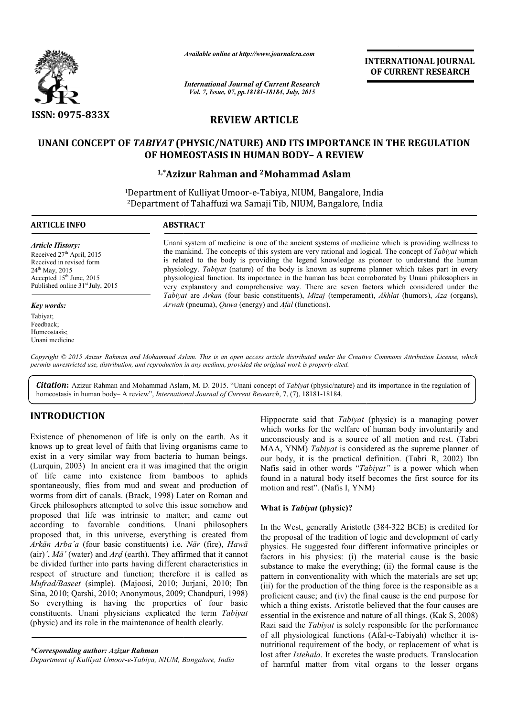

*Available online at http://www.journalcra.com*

*International Journal of Current Research Vol. 7, Issue, 07, pp.18181-18184, July, 2015*

INTERNATIONAL INTERNATIONAL JOURNAL OF CURRENT RESEARCH

# REVIEW ARTICLE

## UNANI CONCEPT OF *TABIYAT* (PHYSIC/NATURE) AND ITS IMPORTANCE IN THE REGULATION OF HOMEOSTASIS IN HUMAN BODY BODY– A REVIEW

## <sup>1,\*</sup>Azizur Rahman and <sup>2</sup>Mohammad Aslam

<sup>1</sup>Department of Kulliyat Umoor-e-Tabiya, NIUM, Bangalore, India Department of Kulliyat Umoor-e-Tabiya, NIUM, Bangalore, India<br><sup>2</sup>Department of Tahaffuzi wa Samaji Tib, NIUM, Bangalore, India

1

## ARTICLE INFO ABSTRACT

*Article History:* Received  $27<sup>th</sup>$  April, 2015 Received in revised form  $24^{th}$  May,  $2015$ Accepted 15<sup>th</sup> June, 2015 Published online 31<sup>st</sup> July, 2015

#### *Key words:*

Tabiyat; Feedback; Homeostasis; Unani medicine Unani system of medicine is one of the ancient systems of medicine which is providing wellness to Unani system of medicine is one of the ancient systems of medicine which is providing wellness to the mankind. The concepts of this system are very rational and logical. The concept of *Tabiyat* which is related to the body is providing the legend knowledge as pioneer to understand the human physiology. *Tabiyat* (nature) of the body is known as supreme planner which takes part in every physiological function. Its importance in the human has been corroborated by Unani philosophers in very explanatory and comprehensive way. There are seven factors which considered under the *Tabiyat* are *Arkan* (four basic constituents), *Mizaj* (temperament), *Akhlat* (humors), *Aza* (organs), *Arwah* (pneuma), *Quwa* (energy) and *Afal* (functions). of the body is known as supreme planner which takes part in<br>portance in the human has been corroborated by Unani philosoph<br>ehensive way. There are seven factors which considered und

Copyright © 2015 Azizur Rahman and Mohammad Aslam. This is an open access article distributed under the Creative Commons Attribution License, which *permits unrestricted use, distribution, and reproduction in any medium, provided the original work is properly cited.*

Citation: Azizur Rahman and Mohammad Aslam, M. D. 2015. "Unani concept of *Tabiyat* (physic/nature) and its importance in the regulation of homeostasis in human body– A review", *International Journal of Current Research* , 7, (7), 18181-18184.

## INTRODUCTION

Existence of phenomenon of life is only on the earth. As it knows up to great level of faith that living organisms came to exist in a very similar way from bacteria to human beings. (Lurquin, 2003) In ancient era it was imagined that the origin of life came into existence from bamboos to aphids spontaneously, flies from mud and sweat and production of worms from dirt of canals. (Brack, 1998) Later on Roman and (Lurquin, 2003) In ancient era it was imagined that the origin<br>of life came into existence from bamboos to aphids<br>spontaneously, flies from mud and sweat and production of<br>worms from dirt of canals. (Brack, 1998) Later on proposed that life was intrinsic to matter; and came out according to favorable conditions. Unani philosophers proposed that, in this universe, everything is created from *Arkān Arba΄a* (four basic constituents) i.e. *Nār* (fire), *Hawā* (air)*'*, *Mā'* (water) and *Arḍ* (earth). They affirmed that it cannot be divided further into parts having different characteristics in respect of structure and function; therefore it is called as *Mufrad/Baseet* (simple)*.* (Majoosi, 2010; Jurjani, 2010; Ibn Sina, 2010; Qarshi, 2010; Anonymous, 2009; Chandpuri, 1998) So everything is having the properties of four basic constituents. Unani physicians explicated the term *Tabiyat* (physic) and its role in the maintenance of health clearly. **The EXECT CONSET CONSET CONSET CONSET AND MANU THE TABIY (THE TABIY THE TABIY THE TABIY THE TABIY THE TABIY THE TABIY THE TABIY THE TABIY THE TABIY THE TABIY THE TABIY THE TABIY THE TABIY THANG THE TABIY THE TABIY THE TAB** 

*\*Corresponding author: Azizur Rahman* 

*Department of Kulliyat Umoor-e-Tabiya, NIUM, Bangalore, India*

which works for the welfare of human body involuntarily and unconsciously and is a source of all motion and rest. (Tabri which works for the welfare of human body involuntarily and unconsciously and is a source of all motion and rest. (Tabri MAA, YNM) *Tabiyat* is considered as the supreme planner of our body, it is the practical definition. (Tabri R, 2002) Ibn Nafis said in other words "*Tabiyat"* is a power which when found in a natural body itself becomes the first source for its motion and rest". (Nafis I, YNM) In the West, generally Aristotle (384-322 BCE) is credited for the West, generally Aristotle (384-322 BCE) is credited for Hippocrate said that *Tabiyat* (physic) is a managing power

### What is *Tabiyat* (physic)?

the proposal of the tradition of logic and development of early physics. He suggested four different informative principles or factors in his physics: (i) the material cause is the basic substance to make the everything; (ii) the formal cause is the pattern in conventionality with which the materials are set up; (iii) for the production of the thing force is the responsible as a proficient cause; and (iv) the final cause is the end purpose for which a thing exists. Aristotle believed that the four causes are essential in the existence and nature of all things. (Kak S, 2008) Razi said the *Tabiyat* is solely responsible for the performance of all physiological functions (Afal nutritional requirement of the body, or replacement of what is lost after *Istehala*. It excretes the waste products. Translocation nutritional requirement of the body, or replacement of what is<br>lost after *Istehala*. It excretes the waste products. Translocation<br>of harmful matter from vital organs to the lesser organs bosal of the tradition of logic and development of early . He suggested four different informative principles or in his physics: (i) the material cause is the basic ce to make the everything; (ii) the formal cause is the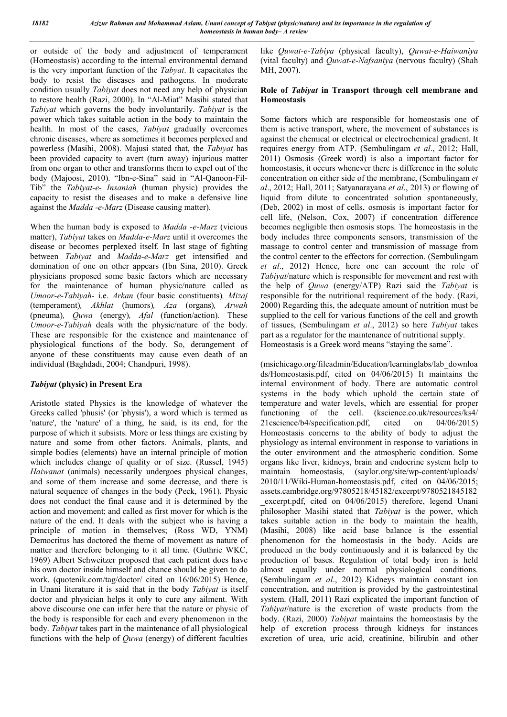or outside of the body and adjustment of temperament (Homeostasis) according to the internal environmental demand is the very important function of the *Tabyat*. It capacitates the body to resist the diseases and pathogens. In moderate condition usually *Tabiyat* does not need any help of physician to restore health (Razi, 2000). In "Al-Miat" Masihi stated that *Tabiyat* which governs the body involuntarily. *Tabiyat* is the power which takes suitable action in the body to maintain the health. In most of the cases, *Tabiyat* gradually overcomes chronic diseases, where as sometimes it becomes perplexed and powerless (Masihi, 2008). Majusi stated that, the *Tabiyat* has been provided capacity to avert (turn away) injurious matter from one organ to other and transforms them to expel out of the body (Majoosi, 2010). "Ibn-e-Sina" said in "Al-Qanoon-Fil-Tib" the *Tabiyat-e- Insaniah* (human physic) provides the capacity to resist the diseases and to make a defensive line against the *Madda -e-Marz* (Disease causing matter).

When the human body is exposed to *Madda -e-Marz* (vicious matter), *Tabiyat* takes on *Madda-e-Marz* until it overcomes the disease or becomes perplexed itself. In last stage of fighting between *Tabiyat* and *Madda-e-Marz* get intensified and domination of one on other appears (Ibn Sina, 2010). Greek physicians proposed some basic factors which are necessary for the maintenance of human physic/nature called as *Umoor-e-Tabiyah*- i.e. *Arkan* (four basic constituents)*, Mizaj* (temperament)*, Akhlat* (humors)*, Aza* (organs)*, Arwah* (pneuma)*, Quwa* (energy)*, Afal* (function/action). These *Umoor-e-Tabiyah* deals with the physic/nature of the body. These are responsible for the existence and maintenance of physiological functions of the body. So, derangement of anyone of these constituents may cause even death of an individual (Baghdadi, 2004; Chandpuri, 1998).

### *Tabiyat* (physic) in Present Era

Aristotle stated Physics is the knowledge of whatever the Greeks called 'phusis' (or 'physis'), a word which is termed as 'nature', the 'nature' of a thing, he said, is its end, for the purpose of which it subsists. More or less things are existing by nature and some from other factors. Animals, plants, and simple bodies (elements) have an internal principle of motion which includes change of quality or of size. (Russel, 1945) *Haiwanat* (animals) necessarily undergoes physical changes, and some of them increase and some decrease, and there is natural sequence of changes in the body (Peck, 1961). Physic does not conduct the final cause and it is determined by the action and movement; and called as first mover for which is the nature of the end. It deals with the subject who is having a principle of motion in themselves; (Ross WD, YNM) Democritus has doctored the theme of movement as nature of matter and therefore belonging to it all time. (Guthrie WKC, 1969) Albert Schweitzer proposed that each patient does have his own doctor inside himself and chance should be given to do work. (quotenik.com/tag/doctor/ cited on 16/06/2015) Hence, in Unani literature it is said that in the body *Tabiyat* is itself doctor and physician helps it only to cure any ailment. With above discourse one can infer here that the nature or physic of the body is responsible for each and every phenomenon in the body. *Tabiyat* takes part in the maintenance of all physiological functions with the help of *Quwa* (energy) of different faculties

like *Quwat-e-Tabiya* (physical faculty), *Quwat-e-Haiwaniya* (vital faculty) and *Quwat-e-Nafsaniya* (nervous faculty) (Shah MH, 2007).

### Role of *Tabiyat* in Transport through cell membrane and Homeostasis

Some factors which are responsible for homeostasis one of them is active transport, where, the movement of substances is against the chemical or electrical or electrochemical gradient. It requires energy from ATP. (Sembulingam *et al*., 2012; Hall, 2011) Osmosis (Greek word) is also a important factor for homeostasis, it occurs whenever there is difference in the solute concentration on either side of the membrane, (Sembulingam *et al*., 2012; Hall, 2011; Satyanarayana *et al*., 2013) or flowing of liquid from dilute to concentrated solution spontaneously, (Deb, 2002) in most of cells, osmosis is important factor for cell life, (Nelson, Cox, 2007) if concentration difference becomes negligible then osmosis stops. The homeostasis in the body includes three components sensors, transmission of the massage to control center and transmission of massage from the control center to the effectors for correction. (Sembulingam *et al*., 2012) Hence, here one can account the role of *Tabiyat*/nature which is responsible for movement and rest with the help of *Quwa* (energy/ATP) Razi said the *Tabiyat* is responsible for the nutritional requirement of the body. (Razi, 2000) Regarding this, the adequate amount of nutrition must be supplied to the cell for various functions of the cell and growth of tissues, (Sembulingam *et al*., 2012) so here *Tabiyat* takes part as a regulator for the maintenance of nutritional supply. Homeostasis is a Greek word means "staying the same".

(msichicago.org/fileadmin/Education/learninglabs/lab\_downloa ds/Homeostasis.pdf, cited on 04/06/2015) It maintains the internal environment of body. There are automatic control systems in the body which uphold the certain state of temperature and water levels, which are essential for proper functioning of the cell. (kscience.co.uk/resources/ks4/ 21cscience/b4/specification.pdf, cited on 04/06/2015) Homeostasis concerns to the ability of body to adjust the physiology as internal environment in response to variations in the outer environment and the atmospheric condition. Some organs like liver, kidneys, brain and endocrine system help to maintain homeostasis, (saylor.org/site/wp-content/uploads/ 2010/11/Wiki-Human-homeostasis.pdf, cited on 04/06/2015; assets.cambridge.org/97805218/45182/excerpt/9780521845182 excerpt.pdf, cited on 04/06/2015) therefore, legend Unani philosopher Masihi stated that *Tabiyat* is the power, which takes suitable action in the body to maintain the health, (Masihi, 2008) like acid base balance is the essential phenomenon for the homeostasis in the body. Acids are produced in the body continuously and it is balanced by the production of bases. Regulation of total body iron is held almost equally under normal physiological conditions. (Sembulingam *et al*., 2012) Kidneys maintain constant ion concentration, and nutrition is provided by the gastrointestinal system. (Hall, 2011) Razi explicated the important function of *Tabiyat*/nature is the excretion of waste products from the body. (Razi, 2000) *Tabiyat* maintains the homeostasis by the help of excretion process through kidneys for instances excretion of urea, uric acid, creatinine, bilirubin and other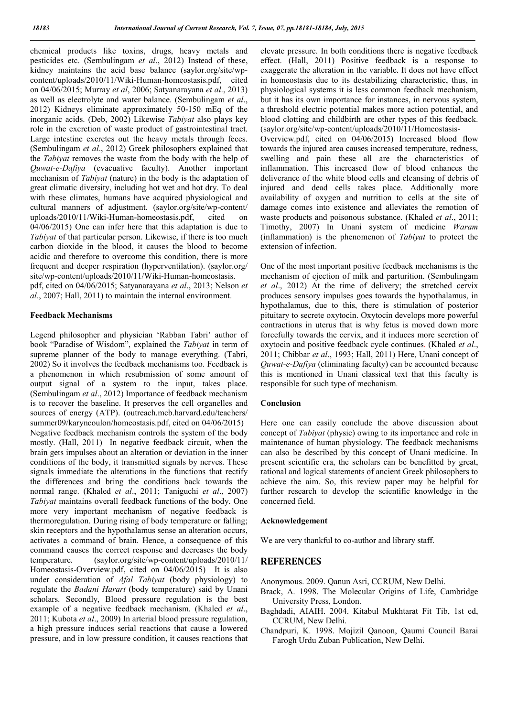chemical products like toxins, drugs, heavy metals and pesticides etc. (Sembulingam *et al*., 2012) Instead of these, kidney maintains the acid base balance (saylor.org/site/wpcontent/uploads/2010/11/Wiki-Human-homeostasis.pdf, cited on 04/06/2015; Murray *et al*, 2006; Satyanarayana *et al*., 2013) as well as electrolyte and water balance. (Sembulingam *et al*., 2012) Kidneys eliminate approximately 50-150 mEq of the inorganic acids. (Deb, 2002) Likewise *Tabiyat* also plays key role in the excretion of waste product of gastrointestinal tract. Large intestine excretes out the heavy metals through feces. (Sembulingam *et al*., 2012) Greek philosophers explained that the *Tabiyat* removes the waste from the body with the help of *Quwat-e-Dafiya* (evacuative faculty). Another important mechanism of *Tabiyat* (nature) in the body is the adaptation of great climatic diversity, including hot wet and hot dry. To deal with these climates, humans have acquired physiological and cultural manners of adjustment. (saylor.org/site/wp-content/ uploads/2010/11/Wiki-Human-homeostasis.pdf, cited on 04/06/2015) One can infer here that this adaptation is due to *Tabiyat* of that particular person. Likewise, if there is too much carbon dioxide in the blood, it causes the blood to become acidic and therefore to overcome this condition, there is more frequent and deeper respiration (hyperventilation). (saylor.org/ site/wp-content/uploads/2010/11/Wiki-Human-homeostasis. pdf, cited on 04/06/2015; Satyanarayana *et al*., 2013; Nelson *et al*., 2007; Hall, 2011) to maintain the internal environment.

#### Feedback Mechanisms

Legend philosopher and physician 'Rabban Tabri' author of book "Paradise of Wisdom", explained the *Tabiyat* in term of supreme planner of the body to manage everything. (Tabri, 2002) So it involves the feedback mechanisms too. Feedback is a phenomenon in which resubmission of some amount of output signal of a system to the input, takes place. (Sembulingam *et al*., 2012) Importance of feedback mechanism is to recover the baseline. It preserves the cell organelles and sources of energy (ATP). (outreach.mcb.harvard.edu/teachers/ summer09/karyncoulon/homeostasis.pdf, cited on 04/06/2015) Negative feedback mechanism controls the system of the body mostly. (Hall, 2011) In negative feedback circuit, when the brain gets impulses about an alteration or deviation in the inner conditions of the body, it transmitted signals by nerves. These signals immediate the alterations in the functions that rectify the differences and bring the conditions back towards the normal range. (Khaled *et al*., 2011; Taniguchi *et al*., 2007) *Tabiyat* maintains overall feedback functions of the body. One more very important mechanism of negative feedback is thermoregulation. During rising of body temperature or falling; skin receptors and the hypothalamus sense an alteration occurs, activates a command of brain. Hence, a consequence of this command causes the correct response and decreases the body temperature. (saylor.org/site/wp-content/uploads/2010/11/ Homeostasis-Overview.pdf, cited on 04/06/2015) It is also under consideration of *Afal Tabiyat* (body physiology) to regulate the *Badani Harart* (body temperature) said by Unani scholars. Secondly, Blood pressure regulation is the best example of a negative feedback mechanism. (Khaled *et al*., 2011; Kubota *et al*., 2009) In arterial blood pressure regulation, a high pressure induces serial reactions that cause a lowered pressure, and in low pressure condition, it causes reactions that elevate pressure. In both conditions there is negative feedback effect. (Hall, 2011) Positive feedback is a response to exaggerate the alteration in the variable. It does not have effect in homeostasis due to its destabilizing characteristic, thus, in physiological systems it is less common feedback mechanism, but it has its own importance for instances, in nervous system, a threshold electric potential makes more action potential, and blood clotting and childbirth are other types of this feedback. (saylor.org/site/wp-content/uploads/2010/11/Homeostasis-Overview.pdf, cited on 04/06/2015) Increased blood flow towards the injured area causes increased temperature, redness, swelling and pain these all are the characteristics of inflammation. This increased flow of blood enhances the deliverance of the white blood cells and cleansing of debris of injured and dead cells takes place. Additionally more availability of oxygen and nutrition to cells at the site of damage comes into existence and alleviates the remotion of waste products and poisonous substance. (Khaled *et al*., 2011; Timothy, 2007) In Unani system of medicine *Waram* (inflammation) is the phenomenon of *Tabiyat* to protect the extension of infection.

One of the most important positive feedback mechanisms is the mechanism of ejection of milk and parturition. (Sembulingam *et al*., 2012) At the time of delivery; the stretched cervix produces sensory impulses goes towards the hypothalamus, in hypothalamus, due to this, there is stimulation of posterior pituitary to secrete oxytocin. Oxytocin develops more powerful contractions in uterus that is why fetus is moved down more forcefully towards the cervix, and it induces more secretion of oxytocin and positive feedback cycle continues. (Khaled *et al*., 2011; Chibbar *et al*., 1993; Hall, 2011) Here, Unani concept of *Quwat-e-Dafiya* (eliminating faculty) can be accounted because this is mentioned in Unani classical text that this faculty is responsible for such type of mechanism.

#### Conclusion

Here one can easily conclude the above discussion about concept of *Tabiyat* (physic) owing to its importance and role in maintenance of human physiology. The feedback mechanisms can also be described by this concept of Unani medicine. In present scientific era, the scholars can be benefitted by great, rational and logical statements of ancient Greek philosophers to achieve the aim. So, this review paper may be helpful for further research to develop the scientific knowledge in the concerned field.

#### Acknowledgement

We are very thankful to co-author and library staff.

### REFERENCES

- Anonymous. 2009. Qanun Asri, CCRUM, New Delhi.
- Brack, A. 1998. The Molecular Origins of Life, Cambridge University Press, London.
- Baghdadi, AIAIH. 2004. Kitabul Mukhtarat Fit Tib, 1st ed, CCRUM, New Delhi.
- Chandpuri, K. 1998. Mojizil Qanoon, Qaumi Council Barai Farogh Urdu Zuban Publication, New Delhi.